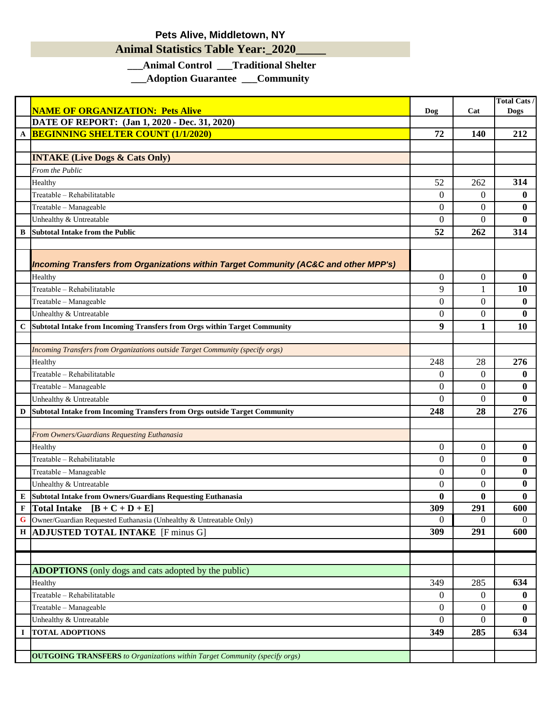## **Pets Alive, Middletown, NY**

## **Animal Statistics Table Year:\_2020\_\_\_\_\_**

## **\_\_\_Animal Control \_\_\_Traditional Shelter**

**\_\_\_Adoption Guarantee \_\_\_Community**

| DATE OF REPORT: (Jan 1, 2020 - Dec. 31, 2020)<br><b>BEGINNING SHELTER COUNT (1/1/2020)</b><br>72<br>212<br>140<br>A<br><b>INTAKE (Live Dogs &amp; Cats Only)</b><br>From the Public<br>314<br>52<br>262<br>Healthy<br>Treatable - Rehabilitatable<br>$\overline{0}$<br>$\overline{0}$<br>$\bf{0}$<br>Treatable - Manageable<br>$\overline{0}$<br>$\overline{0}$<br>$\bf{0}$<br>$\Omega$<br>$\theta$<br>$\mathbf{0}$<br>Unhealthy & Untreatable<br>52<br>262<br>314<br><b>Subtotal Intake from the Public</b><br>В<br>Incoming Transfers from Organizations within Target Community (AC&C and other MPP's)<br>$\overline{0}$<br>$\boldsymbol{0}$<br>Healthy<br>$\bf{0}$<br>9<br>Treatable - Rehabilitatable<br><b>10</b><br>$\mathbf{1}$<br>$\overline{0}$<br>$\overline{0}$<br>$\bf{0}$<br>Treatable - Manageable<br>$\bf{0}$<br>Unhealthy & Untreatable<br>$\overline{0}$<br>0<br>9<br>1<br><b>10</b><br>С<br>Subtotal Intake from Incoming Transfers from Orgs within Target Community<br>Incoming Transfers from Organizations outside Target Community (specify orgs)<br>276<br>248<br>28<br>Healthy<br>Treatable - Rehabilitatable<br>$\overline{0}$<br>$\overline{0}$<br>$\bf{0}$<br>Treatable - Manageable<br>$\overline{0}$<br>0<br>$\bf{0}$<br>$\bf{0}$<br>$\Omega$<br>$\boldsymbol{0}$<br>Unhealthy & Untreatable<br>248<br>28<br>276<br>$\mathbf D$<br>Subtotal Intake from Incoming Transfers from Orgs outside Target Community<br>From Owners/Guardians Requesting Euthanasia<br>$\overline{0}$<br>$\bf{0}$<br>$\overline{0}$<br>Healthy<br>Treatable - Rehabilitatable<br>$\bf{0}$<br>$\overline{0}$<br>0<br>$\overline{0}$<br>0<br>$\bf{0}$<br>Treatable - Manageable<br>Unhealthy & Untreatable<br>$\overline{0}$<br>0<br>$\bf{0}$<br>$\mathbf{0}$<br>0<br>$\mathbf{0}$<br>E<br>Subtotal Intake from Owners/Guardians Requesting Euthanasia<br>291<br>F<br>Total Intake $[B + C + D + E]$<br>309<br>600<br>$\bf G$<br>Owner/Guardian Requested Euthanasia (Unhealthy & Untreatable Only)<br>$\overline{0}$<br>$\overline{0}$<br>$\theta$<br><b>ADJUSTED TOTAL INTAKE</b> [F minus G]<br>309<br>291<br>600<br>$\bf H$<br><b>ADOPTIONS</b> (only dogs and cats adopted by the public)<br>634<br>349<br>285<br>Healthy<br>Treatable - Rehabilitatable<br>$\bf{0}$<br>$\overline{0}$<br>$\mathbf{0}$<br>$\overline{0}$<br>Treatable - Manageable<br>$\overline{0}$<br>$\bf{0}$<br>Unhealthy & Untreatable<br>$\overline{0}$<br>0<br>$\bf{0}$<br><b>TOTAL ADOPTIONS</b><br>349<br>285<br>634<br>I<br><b>OUTGOING TRANSFERS</b> to Organizations within Target Community (specify orgs) | <b>NAME OF ORGANIZATION: Pets Alive</b> | Dog | Cat | <b>Total Cats /</b><br><b>Dogs</b> |
|----------------------------------------------------------------------------------------------------------------------------------------------------------------------------------------------------------------------------------------------------------------------------------------------------------------------------------------------------------------------------------------------------------------------------------------------------------------------------------------------------------------------------------------------------------------------------------------------------------------------------------------------------------------------------------------------------------------------------------------------------------------------------------------------------------------------------------------------------------------------------------------------------------------------------------------------------------------------------------------------------------------------------------------------------------------------------------------------------------------------------------------------------------------------------------------------------------------------------------------------------------------------------------------------------------------------------------------------------------------------------------------------------------------------------------------------------------------------------------------------------------------------------------------------------------------------------------------------------------------------------------------------------------------------------------------------------------------------------------------------------------------------------------------------------------------------------------------------------------------------------------------------------------------------------------------------------------------------------------------------------------------------------------------------------------------------------------------------------------------------------------------------------------------------------------------------------------------------------------------------------------------------------------------------------------------------------------------------------------------------------------------------------------------------------------------------------------------------------------------------------------------------------------------------------------------------------------------------------|-----------------------------------------|-----|-----|------------------------------------|
|                                                                                                                                                                                                                                                                                                                                                                                                                                                                                                                                                                                                                                                                                                                                                                                                                                                                                                                                                                                                                                                                                                                                                                                                                                                                                                                                                                                                                                                                                                                                                                                                                                                                                                                                                                                                                                                                                                                                                                                                                                                                                                                                                                                                                                                                                                                                                                                                                                                                                                                                                                                                    |                                         |     |     |                                    |
|                                                                                                                                                                                                                                                                                                                                                                                                                                                                                                                                                                                                                                                                                                                                                                                                                                                                                                                                                                                                                                                                                                                                                                                                                                                                                                                                                                                                                                                                                                                                                                                                                                                                                                                                                                                                                                                                                                                                                                                                                                                                                                                                                                                                                                                                                                                                                                                                                                                                                                                                                                                                    |                                         |     |     |                                    |
|                                                                                                                                                                                                                                                                                                                                                                                                                                                                                                                                                                                                                                                                                                                                                                                                                                                                                                                                                                                                                                                                                                                                                                                                                                                                                                                                                                                                                                                                                                                                                                                                                                                                                                                                                                                                                                                                                                                                                                                                                                                                                                                                                                                                                                                                                                                                                                                                                                                                                                                                                                                                    |                                         |     |     |                                    |
|                                                                                                                                                                                                                                                                                                                                                                                                                                                                                                                                                                                                                                                                                                                                                                                                                                                                                                                                                                                                                                                                                                                                                                                                                                                                                                                                                                                                                                                                                                                                                                                                                                                                                                                                                                                                                                                                                                                                                                                                                                                                                                                                                                                                                                                                                                                                                                                                                                                                                                                                                                                                    |                                         |     |     |                                    |
|                                                                                                                                                                                                                                                                                                                                                                                                                                                                                                                                                                                                                                                                                                                                                                                                                                                                                                                                                                                                                                                                                                                                                                                                                                                                                                                                                                                                                                                                                                                                                                                                                                                                                                                                                                                                                                                                                                                                                                                                                                                                                                                                                                                                                                                                                                                                                                                                                                                                                                                                                                                                    |                                         |     |     |                                    |
|                                                                                                                                                                                                                                                                                                                                                                                                                                                                                                                                                                                                                                                                                                                                                                                                                                                                                                                                                                                                                                                                                                                                                                                                                                                                                                                                                                                                                                                                                                                                                                                                                                                                                                                                                                                                                                                                                                                                                                                                                                                                                                                                                                                                                                                                                                                                                                                                                                                                                                                                                                                                    |                                         |     |     |                                    |
|                                                                                                                                                                                                                                                                                                                                                                                                                                                                                                                                                                                                                                                                                                                                                                                                                                                                                                                                                                                                                                                                                                                                                                                                                                                                                                                                                                                                                                                                                                                                                                                                                                                                                                                                                                                                                                                                                                                                                                                                                                                                                                                                                                                                                                                                                                                                                                                                                                                                                                                                                                                                    |                                         |     |     |                                    |
|                                                                                                                                                                                                                                                                                                                                                                                                                                                                                                                                                                                                                                                                                                                                                                                                                                                                                                                                                                                                                                                                                                                                                                                                                                                                                                                                                                                                                                                                                                                                                                                                                                                                                                                                                                                                                                                                                                                                                                                                                                                                                                                                                                                                                                                                                                                                                                                                                                                                                                                                                                                                    |                                         |     |     |                                    |
|                                                                                                                                                                                                                                                                                                                                                                                                                                                                                                                                                                                                                                                                                                                                                                                                                                                                                                                                                                                                                                                                                                                                                                                                                                                                                                                                                                                                                                                                                                                                                                                                                                                                                                                                                                                                                                                                                                                                                                                                                                                                                                                                                                                                                                                                                                                                                                                                                                                                                                                                                                                                    |                                         |     |     |                                    |
|                                                                                                                                                                                                                                                                                                                                                                                                                                                                                                                                                                                                                                                                                                                                                                                                                                                                                                                                                                                                                                                                                                                                                                                                                                                                                                                                                                                                                                                                                                                                                                                                                                                                                                                                                                                                                                                                                                                                                                                                                                                                                                                                                                                                                                                                                                                                                                                                                                                                                                                                                                                                    |                                         |     |     |                                    |
|                                                                                                                                                                                                                                                                                                                                                                                                                                                                                                                                                                                                                                                                                                                                                                                                                                                                                                                                                                                                                                                                                                                                                                                                                                                                                                                                                                                                                                                                                                                                                                                                                                                                                                                                                                                                                                                                                                                                                                                                                                                                                                                                                                                                                                                                                                                                                                                                                                                                                                                                                                                                    |                                         |     |     |                                    |
|                                                                                                                                                                                                                                                                                                                                                                                                                                                                                                                                                                                                                                                                                                                                                                                                                                                                                                                                                                                                                                                                                                                                                                                                                                                                                                                                                                                                                                                                                                                                                                                                                                                                                                                                                                                                                                                                                                                                                                                                                                                                                                                                                                                                                                                                                                                                                                                                                                                                                                                                                                                                    |                                         |     |     |                                    |
|                                                                                                                                                                                                                                                                                                                                                                                                                                                                                                                                                                                                                                                                                                                                                                                                                                                                                                                                                                                                                                                                                                                                                                                                                                                                                                                                                                                                                                                                                                                                                                                                                                                                                                                                                                                                                                                                                                                                                                                                                                                                                                                                                                                                                                                                                                                                                                                                                                                                                                                                                                                                    |                                         |     |     |                                    |
|                                                                                                                                                                                                                                                                                                                                                                                                                                                                                                                                                                                                                                                                                                                                                                                                                                                                                                                                                                                                                                                                                                                                                                                                                                                                                                                                                                                                                                                                                                                                                                                                                                                                                                                                                                                                                                                                                                                                                                                                                                                                                                                                                                                                                                                                                                                                                                                                                                                                                                                                                                                                    |                                         |     |     |                                    |
|                                                                                                                                                                                                                                                                                                                                                                                                                                                                                                                                                                                                                                                                                                                                                                                                                                                                                                                                                                                                                                                                                                                                                                                                                                                                                                                                                                                                                                                                                                                                                                                                                                                                                                                                                                                                                                                                                                                                                                                                                                                                                                                                                                                                                                                                                                                                                                                                                                                                                                                                                                                                    |                                         |     |     |                                    |
|                                                                                                                                                                                                                                                                                                                                                                                                                                                                                                                                                                                                                                                                                                                                                                                                                                                                                                                                                                                                                                                                                                                                                                                                                                                                                                                                                                                                                                                                                                                                                                                                                                                                                                                                                                                                                                                                                                                                                                                                                                                                                                                                                                                                                                                                                                                                                                                                                                                                                                                                                                                                    |                                         |     |     |                                    |
|                                                                                                                                                                                                                                                                                                                                                                                                                                                                                                                                                                                                                                                                                                                                                                                                                                                                                                                                                                                                                                                                                                                                                                                                                                                                                                                                                                                                                                                                                                                                                                                                                                                                                                                                                                                                                                                                                                                                                                                                                                                                                                                                                                                                                                                                                                                                                                                                                                                                                                                                                                                                    |                                         |     |     |                                    |
|                                                                                                                                                                                                                                                                                                                                                                                                                                                                                                                                                                                                                                                                                                                                                                                                                                                                                                                                                                                                                                                                                                                                                                                                                                                                                                                                                                                                                                                                                                                                                                                                                                                                                                                                                                                                                                                                                                                                                                                                                                                                                                                                                                                                                                                                                                                                                                                                                                                                                                                                                                                                    |                                         |     |     |                                    |
|                                                                                                                                                                                                                                                                                                                                                                                                                                                                                                                                                                                                                                                                                                                                                                                                                                                                                                                                                                                                                                                                                                                                                                                                                                                                                                                                                                                                                                                                                                                                                                                                                                                                                                                                                                                                                                                                                                                                                                                                                                                                                                                                                                                                                                                                                                                                                                                                                                                                                                                                                                                                    |                                         |     |     |                                    |
|                                                                                                                                                                                                                                                                                                                                                                                                                                                                                                                                                                                                                                                                                                                                                                                                                                                                                                                                                                                                                                                                                                                                                                                                                                                                                                                                                                                                                                                                                                                                                                                                                                                                                                                                                                                                                                                                                                                                                                                                                                                                                                                                                                                                                                                                                                                                                                                                                                                                                                                                                                                                    |                                         |     |     |                                    |
|                                                                                                                                                                                                                                                                                                                                                                                                                                                                                                                                                                                                                                                                                                                                                                                                                                                                                                                                                                                                                                                                                                                                                                                                                                                                                                                                                                                                                                                                                                                                                                                                                                                                                                                                                                                                                                                                                                                                                                                                                                                                                                                                                                                                                                                                                                                                                                                                                                                                                                                                                                                                    |                                         |     |     |                                    |
|                                                                                                                                                                                                                                                                                                                                                                                                                                                                                                                                                                                                                                                                                                                                                                                                                                                                                                                                                                                                                                                                                                                                                                                                                                                                                                                                                                                                                                                                                                                                                                                                                                                                                                                                                                                                                                                                                                                                                                                                                                                                                                                                                                                                                                                                                                                                                                                                                                                                                                                                                                                                    |                                         |     |     |                                    |
|                                                                                                                                                                                                                                                                                                                                                                                                                                                                                                                                                                                                                                                                                                                                                                                                                                                                                                                                                                                                                                                                                                                                                                                                                                                                                                                                                                                                                                                                                                                                                                                                                                                                                                                                                                                                                                                                                                                                                                                                                                                                                                                                                                                                                                                                                                                                                                                                                                                                                                                                                                                                    |                                         |     |     |                                    |
|                                                                                                                                                                                                                                                                                                                                                                                                                                                                                                                                                                                                                                                                                                                                                                                                                                                                                                                                                                                                                                                                                                                                                                                                                                                                                                                                                                                                                                                                                                                                                                                                                                                                                                                                                                                                                                                                                                                                                                                                                                                                                                                                                                                                                                                                                                                                                                                                                                                                                                                                                                                                    |                                         |     |     |                                    |
|                                                                                                                                                                                                                                                                                                                                                                                                                                                                                                                                                                                                                                                                                                                                                                                                                                                                                                                                                                                                                                                                                                                                                                                                                                                                                                                                                                                                                                                                                                                                                                                                                                                                                                                                                                                                                                                                                                                                                                                                                                                                                                                                                                                                                                                                                                                                                                                                                                                                                                                                                                                                    |                                         |     |     |                                    |
|                                                                                                                                                                                                                                                                                                                                                                                                                                                                                                                                                                                                                                                                                                                                                                                                                                                                                                                                                                                                                                                                                                                                                                                                                                                                                                                                                                                                                                                                                                                                                                                                                                                                                                                                                                                                                                                                                                                                                                                                                                                                                                                                                                                                                                                                                                                                                                                                                                                                                                                                                                                                    |                                         |     |     |                                    |
|                                                                                                                                                                                                                                                                                                                                                                                                                                                                                                                                                                                                                                                                                                                                                                                                                                                                                                                                                                                                                                                                                                                                                                                                                                                                                                                                                                                                                                                                                                                                                                                                                                                                                                                                                                                                                                                                                                                                                                                                                                                                                                                                                                                                                                                                                                                                                                                                                                                                                                                                                                                                    |                                         |     |     |                                    |
|                                                                                                                                                                                                                                                                                                                                                                                                                                                                                                                                                                                                                                                                                                                                                                                                                                                                                                                                                                                                                                                                                                                                                                                                                                                                                                                                                                                                                                                                                                                                                                                                                                                                                                                                                                                                                                                                                                                                                                                                                                                                                                                                                                                                                                                                                                                                                                                                                                                                                                                                                                                                    |                                         |     |     |                                    |
|                                                                                                                                                                                                                                                                                                                                                                                                                                                                                                                                                                                                                                                                                                                                                                                                                                                                                                                                                                                                                                                                                                                                                                                                                                                                                                                                                                                                                                                                                                                                                                                                                                                                                                                                                                                                                                                                                                                                                                                                                                                                                                                                                                                                                                                                                                                                                                                                                                                                                                                                                                                                    |                                         |     |     |                                    |
|                                                                                                                                                                                                                                                                                                                                                                                                                                                                                                                                                                                                                                                                                                                                                                                                                                                                                                                                                                                                                                                                                                                                                                                                                                                                                                                                                                                                                                                                                                                                                                                                                                                                                                                                                                                                                                                                                                                                                                                                                                                                                                                                                                                                                                                                                                                                                                                                                                                                                                                                                                                                    |                                         |     |     |                                    |
|                                                                                                                                                                                                                                                                                                                                                                                                                                                                                                                                                                                                                                                                                                                                                                                                                                                                                                                                                                                                                                                                                                                                                                                                                                                                                                                                                                                                                                                                                                                                                                                                                                                                                                                                                                                                                                                                                                                                                                                                                                                                                                                                                                                                                                                                                                                                                                                                                                                                                                                                                                                                    |                                         |     |     |                                    |
|                                                                                                                                                                                                                                                                                                                                                                                                                                                                                                                                                                                                                                                                                                                                                                                                                                                                                                                                                                                                                                                                                                                                                                                                                                                                                                                                                                                                                                                                                                                                                                                                                                                                                                                                                                                                                                                                                                                                                                                                                                                                                                                                                                                                                                                                                                                                                                                                                                                                                                                                                                                                    |                                         |     |     |                                    |
|                                                                                                                                                                                                                                                                                                                                                                                                                                                                                                                                                                                                                                                                                                                                                                                                                                                                                                                                                                                                                                                                                                                                                                                                                                                                                                                                                                                                                                                                                                                                                                                                                                                                                                                                                                                                                                                                                                                                                                                                                                                                                                                                                                                                                                                                                                                                                                                                                                                                                                                                                                                                    |                                         |     |     |                                    |
|                                                                                                                                                                                                                                                                                                                                                                                                                                                                                                                                                                                                                                                                                                                                                                                                                                                                                                                                                                                                                                                                                                                                                                                                                                                                                                                                                                                                                                                                                                                                                                                                                                                                                                                                                                                                                                                                                                                                                                                                                                                                                                                                                                                                                                                                                                                                                                                                                                                                                                                                                                                                    |                                         |     |     |                                    |
|                                                                                                                                                                                                                                                                                                                                                                                                                                                                                                                                                                                                                                                                                                                                                                                                                                                                                                                                                                                                                                                                                                                                                                                                                                                                                                                                                                                                                                                                                                                                                                                                                                                                                                                                                                                                                                                                                                                                                                                                                                                                                                                                                                                                                                                                                                                                                                                                                                                                                                                                                                                                    |                                         |     |     |                                    |
|                                                                                                                                                                                                                                                                                                                                                                                                                                                                                                                                                                                                                                                                                                                                                                                                                                                                                                                                                                                                                                                                                                                                                                                                                                                                                                                                                                                                                                                                                                                                                                                                                                                                                                                                                                                                                                                                                                                                                                                                                                                                                                                                                                                                                                                                                                                                                                                                                                                                                                                                                                                                    |                                         |     |     |                                    |
|                                                                                                                                                                                                                                                                                                                                                                                                                                                                                                                                                                                                                                                                                                                                                                                                                                                                                                                                                                                                                                                                                                                                                                                                                                                                                                                                                                                                                                                                                                                                                                                                                                                                                                                                                                                                                                                                                                                                                                                                                                                                                                                                                                                                                                                                                                                                                                                                                                                                                                                                                                                                    |                                         |     |     |                                    |
|                                                                                                                                                                                                                                                                                                                                                                                                                                                                                                                                                                                                                                                                                                                                                                                                                                                                                                                                                                                                                                                                                                                                                                                                                                                                                                                                                                                                                                                                                                                                                                                                                                                                                                                                                                                                                                                                                                                                                                                                                                                                                                                                                                                                                                                                                                                                                                                                                                                                                                                                                                                                    |                                         |     |     |                                    |
|                                                                                                                                                                                                                                                                                                                                                                                                                                                                                                                                                                                                                                                                                                                                                                                                                                                                                                                                                                                                                                                                                                                                                                                                                                                                                                                                                                                                                                                                                                                                                                                                                                                                                                                                                                                                                                                                                                                                                                                                                                                                                                                                                                                                                                                                                                                                                                                                                                                                                                                                                                                                    |                                         |     |     |                                    |
|                                                                                                                                                                                                                                                                                                                                                                                                                                                                                                                                                                                                                                                                                                                                                                                                                                                                                                                                                                                                                                                                                                                                                                                                                                                                                                                                                                                                                                                                                                                                                                                                                                                                                                                                                                                                                                                                                                                                                                                                                                                                                                                                                                                                                                                                                                                                                                                                                                                                                                                                                                                                    |                                         |     |     |                                    |
|                                                                                                                                                                                                                                                                                                                                                                                                                                                                                                                                                                                                                                                                                                                                                                                                                                                                                                                                                                                                                                                                                                                                                                                                                                                                                                                                                                                                                                                                                                                                                                                                                                                                                                                                                                                                                                                                                                                                                                                                                                                                                                                                                                                                                                                                                                                                                                                                                                                                                                                                                                                                    |                                         |     |     |                                    |
|                                                                                                                                                                                                                                                                                                                                                                                                                                                                                                                                                                                                                                                                                                                                                                                                                                                                                                                                                                                                                                                                                                                                                                                                                                                                                                                                                                                                                                                                                                                                                                                                                                                                                                                                                                                                                                                                                                                                                                                                                                                                                                                                                                                                                                                                                                                                                                                                                                                                                                                                                                                                    |                                         |     |     |                                    |
|                                                                                                                                                                                                                                                                                                                                                                                                                                                                                                                                                                                                                                                                                                                                                                                                                                                                                                                                                                                                                                                                                                                                                                                                                                                                                                                                                                                                                                                                                                                                                                                                                                                                                                                                                                                                                                                                                                                                                                                                                                                                                                                                                                                                                                                                                                                                                                                                                                                                                                                                                                                                    |                                         |     |     |                                    |